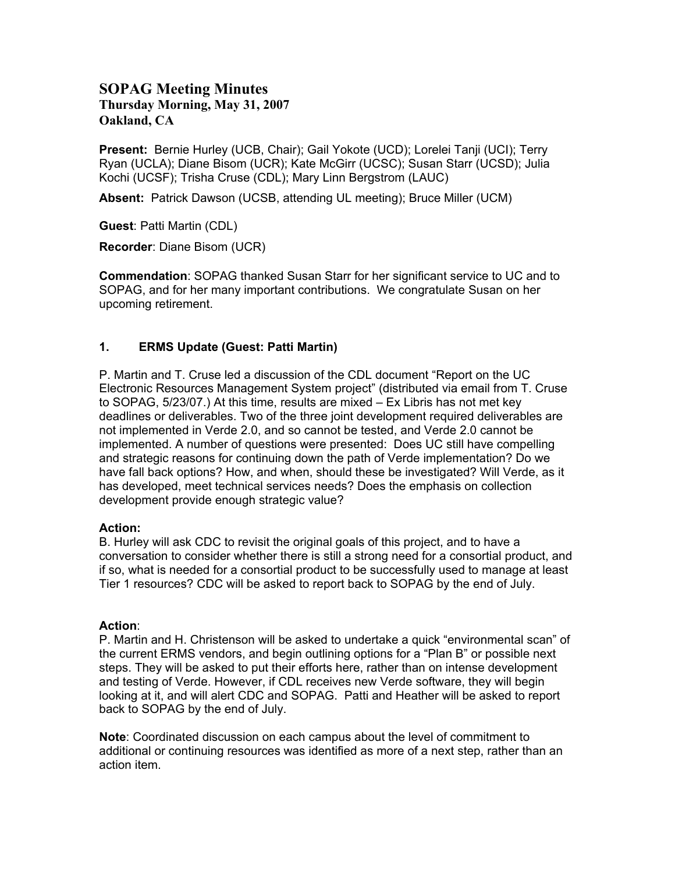# **SOPAG Meeting Minutes Thursday Morning, May 31, 2007 Oakland, CA**

**Present:** Bernie Hurley (UCB, Chair); Gail Yokote (UCD); Lorelei Tanji (UCI); Terry Ryan (UCLA); Diane Bisom (UCR); Kate McGirr (UCSC); Susan Starr (UCSD); Julia Kochi (UCSF); Trisha Cruse (CDL); Mary Linn Bergstrom (LAUC)

**Absent:** Patrick Dawson (UCSB, attending UL meeting); Bruce Miller (UCM)

**Guest**: Patti Martin (CDL)

**Recorder**: Diane Bisom (UCR)

**Commendation**: SOPAG thanked Susan Starr for her significant service to UC and to SOPAG, and for her many important contributions. We congratulate Susan on her upcoming retirement.

#### **1. ERMS Update (Guest: Patti Martin)**

P. Martin and T. Cruse led a discussion of the CDL document "Report on the UC Electronic Resources Management System project" (distributed via email from T. Cruse to SOPAG, 5/23/07.) At this time, results are mixed – Ex Libris has not met key deadlines or deliverables. Two of the three joint development required deliverables are not implemented in Verde 2.0, and so cannot be tested, and Verde 2.0 cannot be implemented. A number of questions were presented: Does UC still have compelling and strategic reasons for continuing down the path of Verde implementation? Do we have fall back options? How, and when, should these be investigated? Will Verde, as it has developed, meet technical services needs? Does the emphasis on collection development provide enough strategic value?

#### **Action:**

B. Hurley will ask CDC to revisit the original goals of this project, and to have a conversation to consider whether there is still a strong need for a consortial product, and if so, what is needed for a consortial product to be successfully used to manage at least Tier 1 resources? CDC will be asked to report back to SOPAG by the end of July.

#### **Action**:

P. Martin and H. Christenson will be asked to undertake a quick "environmental scan" of the current ERMS vendors, and begin outlining options for a "Plan B" or possible next steps. They will be asked to put their efforts here, rather than on intense development and testing of Verde. However, if CDL receives new Verde software, they will begin looking at it, and will alert CDC and SOPAG. Patti and Heather will be asked to report back to SOPAG by the end of July.

**Note**: Coordinated discussion on each campus about the level of commitment to additional or continuing resources was identified as more of a next step, rather than an action item.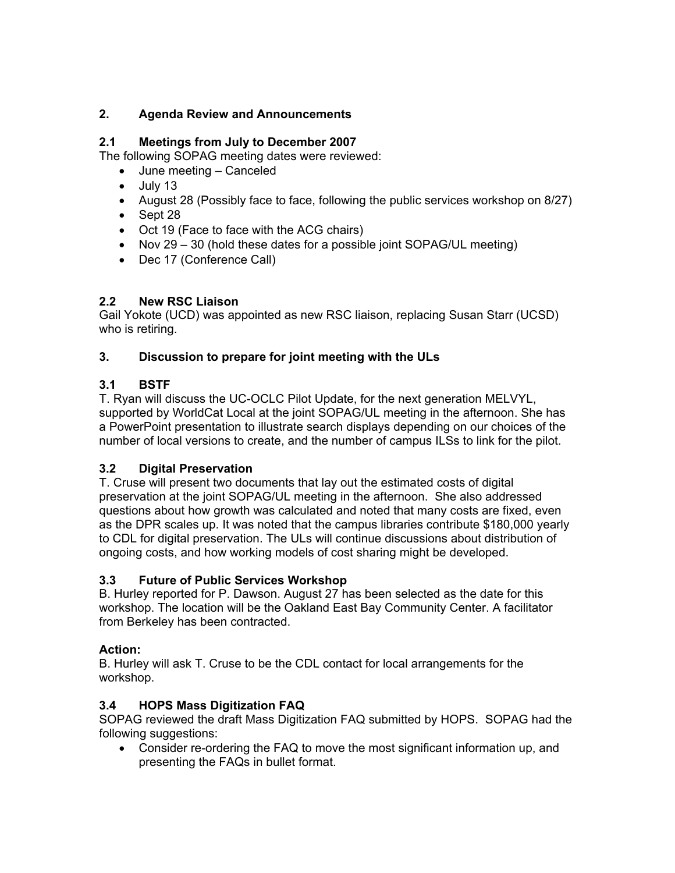## **2. Agenda Review and Announcements**

## **2.1 Meetings from July to December 2007**

The following SOPAG meeting dates were reviewed:

- June meeting Canceled
- July 13
- August 28 (Possibly face to face, following the public services workshop on 8/27)
- Sept 28
- Oct 19 (Face to face with the ACG chairs)
- Nov 29 30 (hold these dates for a possible joint SOPAG/UL meeting)
- Dec 17 (Conference Call)

## **2.2 New RSC Liaison**

Gail Yokote (UCD) was appointed as new RSC liaison, replacing Susan Starr (UCSD) who is retiring.

## **3. Discussion to prepare for joint meeting with the ULs**

# **3.1 BSTF**

T. Ryan will discuss the UC-OCLC Pilot Update, for the next generation MELVYL, supported by WorldCat Local at the joint SOPAG/UL meeting in the afternoon. She has a PowerPoint presentation to illustrate search displays depending on our choices of the number of local versions to create, and the number of campus ILSs to link for the pilot.

## **3.2 Digital Preservation**

T. Cruse will present two documents that lay out the estimated costs of digital preservation at the joint SOPAG/UL meeting in the afternoon. She also addressed questions about how growth was calculated and noted that many costs are fixed, even as the DPR scales up. It was noted that the campus libraries contribute \$180,000 yearly to CDL for digital preservation. The ULs will continue discussions about distribution of ongoing costs, and how working models of cost sharing might be developed.

## **3.3 Future of Public Services Workshop**

B. Hurley reported for P. Dawson. August 27 has been selected as the date for this workshop. The location will be the Oakland East Bay Community Center. A facilitator from Berkeley has been contracted.

## **Action:**

B. Hurley will ask T. Cruse to be the CDL contact for local arrangements for the workshop.

# **3.4 HOPS Mass Digitization FAQ**

SOPAG reviewed the draft Mass Digitization FAQ submitted by HOPS. SOPAG had the following suggestions:

• Consider re-ordering the FAQ to move the most significant information up, and presenting the FAQs in bullet format.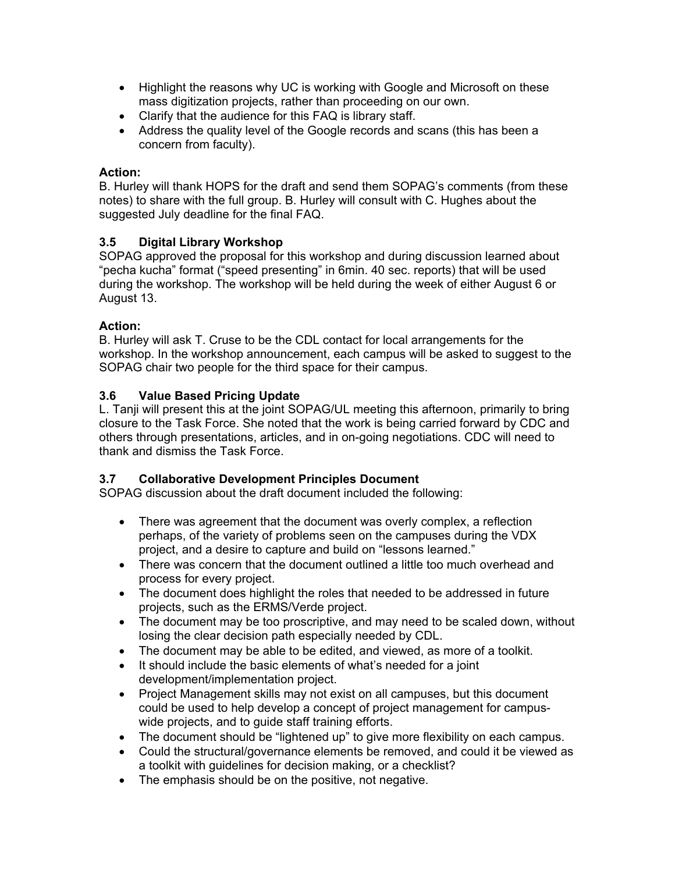- Highlight the reasons why UC is working with Google and Microsoft on these mass digitization projects, rather than proceeding on our own.
- Clarify that the audience for this FAQ is library staff.
- Address the quality level of the Google records and scans (this has been a concern from faculty).

#### **Action:**

B. Hurley will thank HOPS for the draft and send them SOPAG's comments (from these notes) to share with the full group. B. Hurley will consult with C. Hughes about the suggested July deadline for the final FAQ.

## **3.5 Digital Library Workshop**

SOPAG approved the proposal for this workshop and during discussion learned about "pecha kucha" format ("speed presenting" in 6min. 40 sec. reports) that will be used during the workshop. The workshop will be held during the week of either August 6 or August 13.

#### **Action:**

B. Hurley will ask T. Cruse to be the CDL contact for local arrangements for the workshop. In the workshop announcement, each campus will be asked to suggest to the SOPAG chair two people for the third space for their campus.

#### **3.6 Value Based Pricing Update**

L. Tanji will present this at the joint SOPAG/UL meeting this afternoon, primarily to bring closure to the Task Force. She noted that the work is being carried forward by CDC and others through presentations, articles, and in on-going negotiations. CDC will need to thank and dismiss the Task Force.

## **3.7 Collaborative Development Principles Document**

SOPAG discussion about the draft document included the following:

- There was agreement that the document was overly complex, a reflection perhaps, of the variety of problems seen on the campuses during the VDX project, and a desire to capture and build on "lessons learned."
- There was concern that the document outlined a little too much overhead and process for every project.
- The document does highlight the roles that needed to be addressed in future projects, such as the ERMS/Verde project.
- The document may be too proscriptive, and may need to be scaled down, without losing the clear decision path especially needed by CDL.
- The document may be able to be edited, and viewed, as more of a toolkit.
- It should include the basic elements of what's needed for a joint development/implementation project.
- Project Management skills may not exist on all campuses, but this document could be used to help develop a concept of project management for campuswide projects, and to guide staff training efforts.
- The document should be "lightened up" to give more flexibility on each campus.
- Could the structural/governance elements be removed, and could it be viewed as a toolkit with guidelines for decision making, or a checklist?
- The emphasis should be on the positive, not negative.